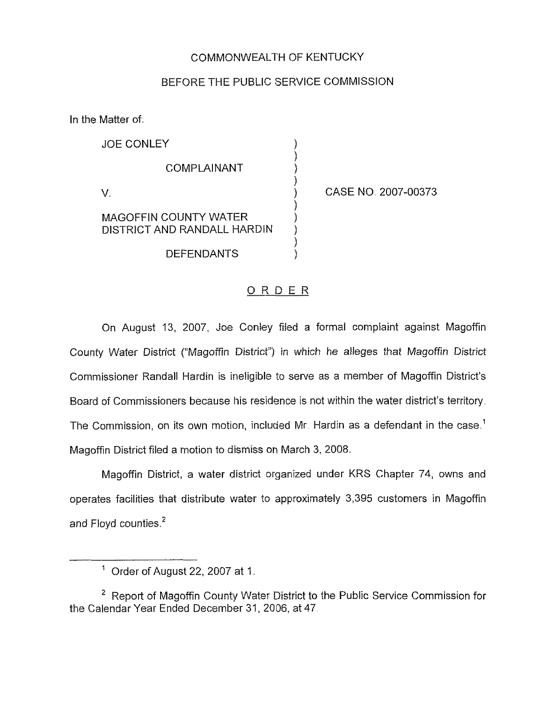#### COMMONWEALTH OF KENTUCKY

#### BEFORE THE PLIBLIC SERVICE COMMISSION

) ) ) )

)

) ) )

In the Matter of.

JOE CONLEY COMPLAINANT V. MAGOFFIN COUNTY WATER

) CASE NO. 2007-00373

DISTRICT AND RANDALL HARDIN DEFENDANTS

# ORDER

On August 13, 2007, Joe Conley filed a formal complaint against Magoffin County Water District ("Magoffin District") in which he alleges that Magoffin District Commissioner Randall Hardin is ineligible to serve as a member of Magoffin District's Board of Commissioners because his residence is not within the water district's territory The Commission, on its own motion, included Mr. Hardin as a defendant in the case.<sup>1</sup> Magoffin District filed a motion to dismiss on March 3, 2008.

Magoffin District, a water district organized under KRS Chapter 74, owns and operates facilities that distribute water to approximately 3,395 customers in Magoffin and Floyd counties.<sup>2</sup>

 $<sup>1</sup>$  Order of August 22, 2007 at 1.</sup>

 $2$  Report of Magoffin County Water District to the Public Service Commission for the Calendar Year Ended December 3t, 2006, at 47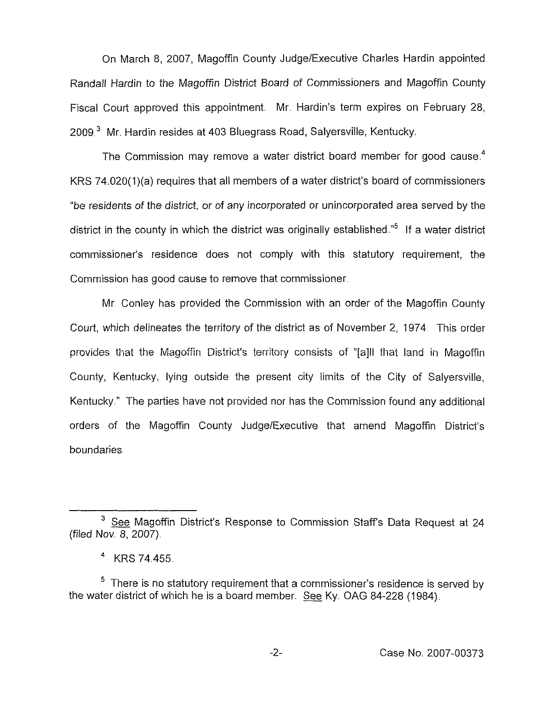On March 8, 2007, Magoffin County Judge/Executive Charles Hardin appointed Randall Hardin to the Magoffin District Board of Commissioners and Magoffin County Fiscal Court approved this appointment. Mr. Hardin's term expires on February 28, 2009<sup>3</sup> Mr. Hardin resides at 403 Bluegrass Road, Salyersville, Kentucky.

The Commission may remove a water district board member for good cause.<sup>4</sup> KRS 74.020(1)(a) requires that all members of a water district's board of commissioners "be residents of the district, or of any incorporated or unincorporated area served by the district in the county in which the district was originally established.<sup>"5</sup> If a water district commissioner's residence does not comply with this statutory requirement, the Commission has good cause to remove that commissioner

Mr. Conley has provided the Commission with an order of the Magoffin County Court, which delineates the territory of the district as of November 2, 1974 This order provides that the Magoffin District's territory consists of "[a]ll that land in Magoffin County, Kentucky, lying outside the present city limits of the City of Salyersville, Kentucky." The parties have not provided nor has the Commission found any additional orders of the Magoffin County Judge/Executive that amend Magoffin District's boundaries

 $3$  See Magoffin District's Response to Commission Staff's Data Request at 24 (filed Nov. 8, 2007).

 $4$  KRS 74 455.

 $5$  There is no statutory requirement that a commissioner's residence is served by the water district of which he is a board member. See Ky. OAG 84-228 (1984).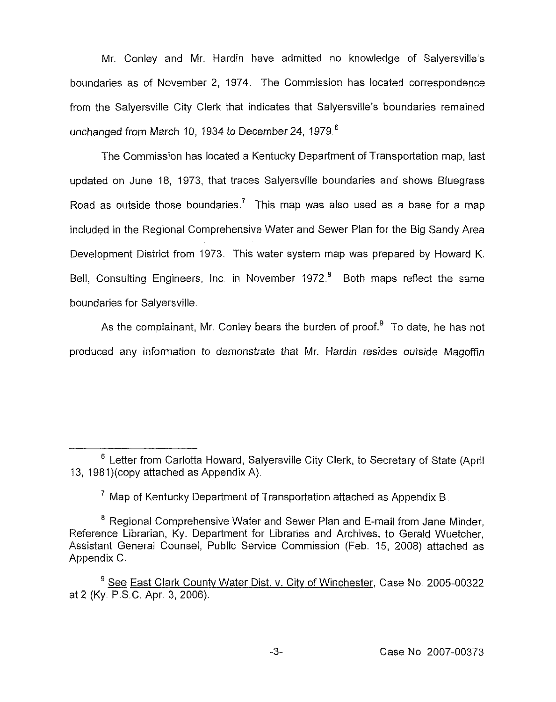Mr Conley and Mr. Hardin have admitted no knowledge of Salyersville's boundaries as of November 2, 1974. The Commission has located correspondence from the Salyersville City Clerk that indicates that Salyersville's boundaries remained unchanged from March 10, 1934 to December 24, 1979.<sup>6</sup>

The Commission has located a Kentucky Department of Transportation map, last updated on June 18, 1973, that traces Salyersville boundaries and shows Bluegrass Road as outside those boundaries.<sup>7</sup> This map was also used as a base for a map included in the Regional Comprehensive Water and Sewer Plan for the Big Sandy Area Development District from 1973. This water system map was prepared by Howard K. Bell, Consulting Engineers, Inc. in November 1972.<sup>8</sup> Both maps reflect the same boundaries for Salyersville

As the complainant, Mr. Conley bears the burden of proof. $9$  To date, he has not produced any information to demonstrate that Mr. Hardin resides outside Magoffin

<sup>&</sup>lt;sup>6</sup> Letter from Carlotta Howard, Salyersville City Clerk, to Secretary of State (April 13, 1981)(copy attached as Appendix A).

 $^7$  Map of Kentucky Department of Transportation attached as Appendix B.

 $8$  Regional Comprehensive Water and Sewer Plan and E-mail from Jane Minder, Reference Librarian, Ky. Department for Libraries and Archives, to Gerald Wuetcher, Assistant General Counsel, Public Service Commission (Feb. 15, 2008) attached as Appendix C.

<sup>&</sup>lt;sup>9</sup> See East Clark County Water Dist. v. City of Winchester, Case No. 2005-00322 at 2 (Ky P.S C, Apr. 3, 2006).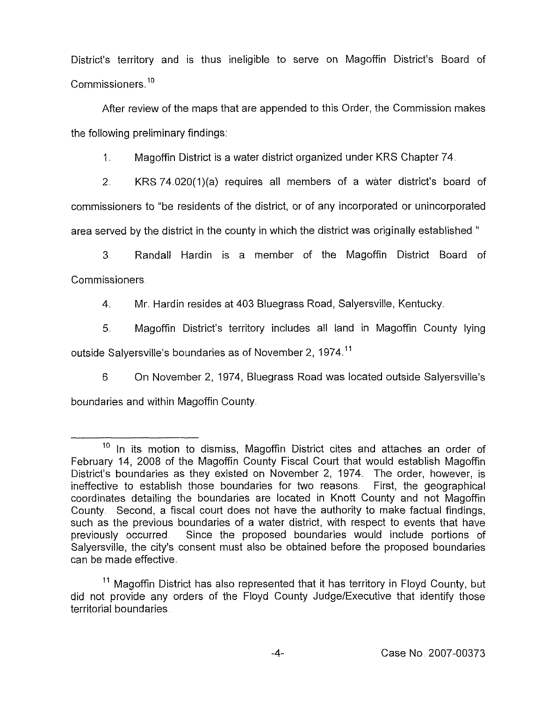District's territory and is thus ineligible to serve on Magoffin District's Board of Commissioners.<sup>10</sup>

After review of the maps that are appended to this Order, the Commission makes the following preliminary findings:

1, Magoffin District is a water district organized under KRS Chapter 74

2 KRS74.020{1)(a) requires all members of a water district's board of commissioners to "be residents of the district, or of any incorporated or unincorporated area served by the district in the county in which the district was originally established "

3. Randall Hardin is a member of the Magoffin District Board of Commissioners

4 Mr. Hardin resides at 403 Bluegrass Road, Salyersville, Kentucky,

5. Magoffin District's territory includes all land in Magoffin County lying outside Salyersville's boundaries as of November 2, 1974.<sup>11</sup>

6 On November 2, 1974, Bluegrass Road was located outside Salyersville's boundaries and within Magoffin County.

 $10$  In its motion to dismiss, Magoffin District cites and attaches an order of February 14, 2008 of the Magoffin County Fiscal Court that would establish Magoffin District's boundaries as they existed on November 2, 1974. The order, however, is ineffective to establish those boundaries for two reasons. First, the geographical coordinates detailing the boundaries are located in Knott County and not Magoffin County. Second, a fiscal court does not have the authority to make factual findings, such as the previous boundaries of a water district, with respect to events that have previously occurred Since the proposed boundaries would include portions of Salyersville, the city's consent must also be obtained before the proposed boundaries can be made effective.

 $11$  Magoffin District has also represented that it has territory in Floyd County, but did not provide any orders of the Floyd County Judge/Executive that identify those territorial boundaries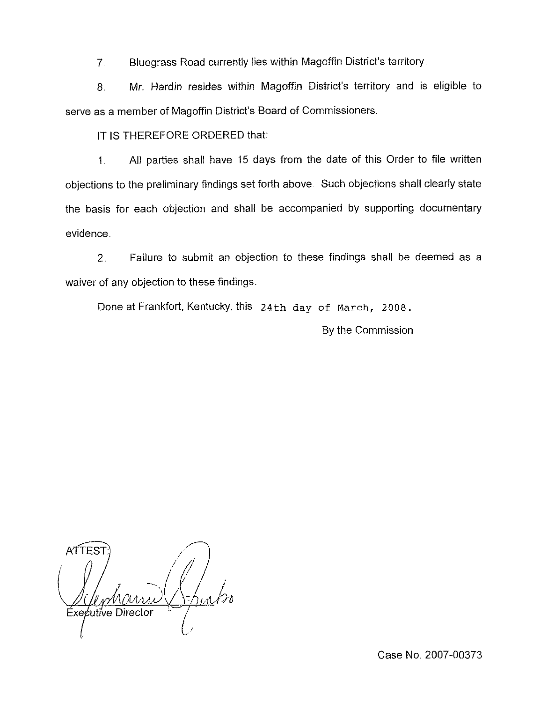7 Bluegrass Road currently lies within Magoffin District's territory

8. Mr. Hardin resides within Magoffin District's territory and is eligible to serve as a member of Magoffin District's Board of Commissioners.

IT IS THEREFORE ORDERED that.

1. All parties shall have 15 days from the date of this Order to file written objections to the preliminary findings set forth above. Such objections shall clearly state the basis for each objection and shall be accompanied by supporting documentary evidence.

2, Failure to submit an objection to these findings shall be deemed as a waiver of any objection to these findings.

Done at Frankfort, Kentucky, this 24th day of March, 2008.

By the Commission

ATTES. I ( pharri Executive Director  $\cup$ /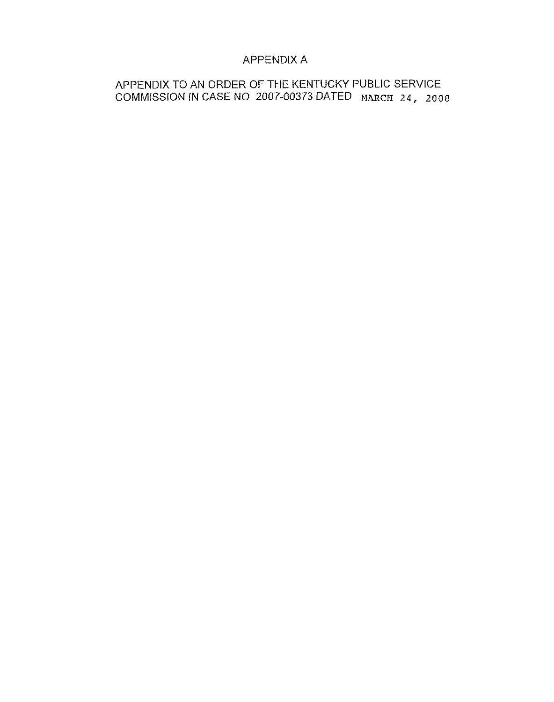# APPENDIX A

APPENDIX TO AN ORDER OF THE KENTUCKY PUBLIC SERVICE COMMISSION IN CASE NO. 2007-00373 DATED MARCH 24, 2008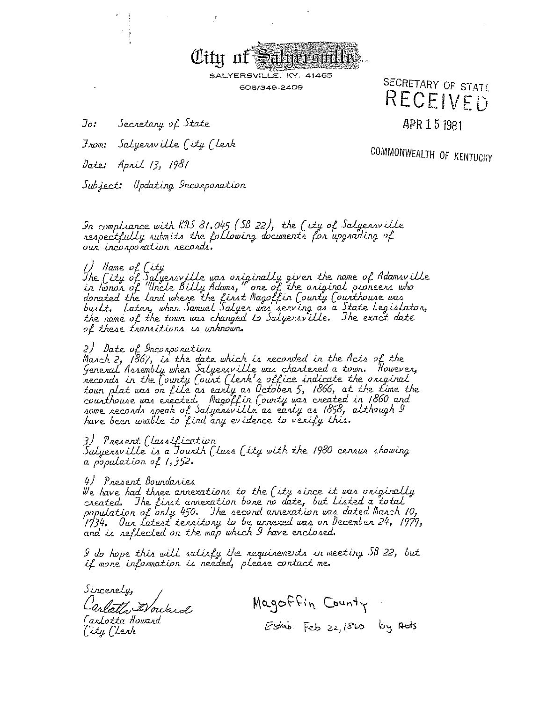

SALYERSVILLE. KY. 41465 606/349-2409

Jo: Secretary of State SECRETARY OF STATE RECEIVED

APR 1 5 1981

Salyersville (ity (lerk  $\mathcal{F}_{\mathcal{A} \mathcal{O} \mathcal{B}}$ 

Date: April 13, 1981

COMMONWEALTH OF KENTUCKY

Subject: Updating Incorporation

In compliance with  $KRS$   $81.045$  (SB 22), the (ity of Salyensville respectfully submits the following documents for upgrading of our incorporation records.

1) Name of City<br>The City of Salyensville was oniginally given the name of Adamsville<br>in honon of "Uncle Billy Adams," one of the oniginal pioneens who donated the land where the first Magoffin County Counthouse was<br>built. Later, when Samuel Salyer was serving as a State Legislaton,<br>the name of the town was changed to Salyersville. The exact date of these transitions is unknown.

#### 2) Date of Inconponation

2) base of Indispondation<br>March 2, 1867, is the date which is recorded in the Acts of the<br>General Assembly when Salyersville was chartened a town. However,<br>necords in the County Count (lenk's office indicate the original<br>t some records speak of Salyersville as early as 1858, although I<br>have been unable to find any evidence to verify this.

#### 3) Present (lassification

Salyensville is a founth (lass (ity with the 1980 census showing a population of  $1,352$ .

#### 4) Present Bourdaries

We have had three annexations to the (ity since it was oniginally created. The first annexation bone no date, but listed a total"<br>population of only 450. The second annexation was dated March 10, '1934. Our latest territory to be arrexed was on December 24, 1979, and is reflected on the map which I have enclosed.

I do hope this will satisfy the requirements in meeting SB 22, but if more information is needed, please contact me.

Sincerely, arlatta Doward Carlotta Howard [ity (levk

Magoffin County Estab. Feb 22, 1860 by Aets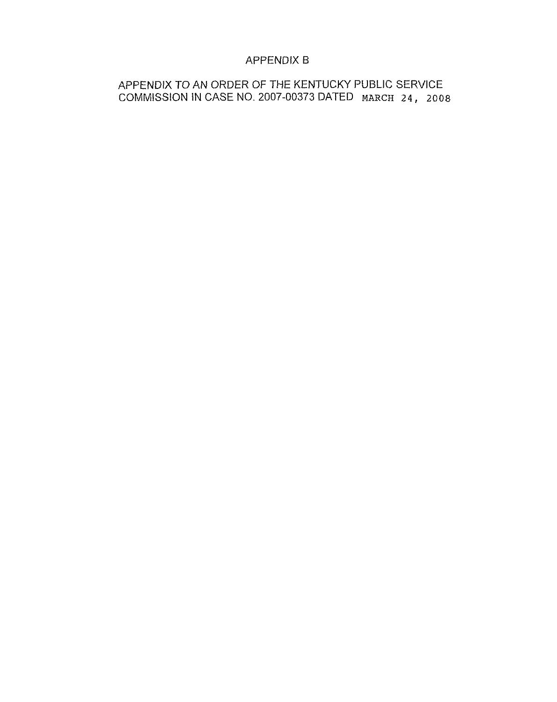# APPENDIX B

APPENDIX TO AN ORDER OF THE KENTUCKY PUBLIC SERVICE COMMISSION IN CASE NO. 2007-00373 DATED MARCH 24, 2008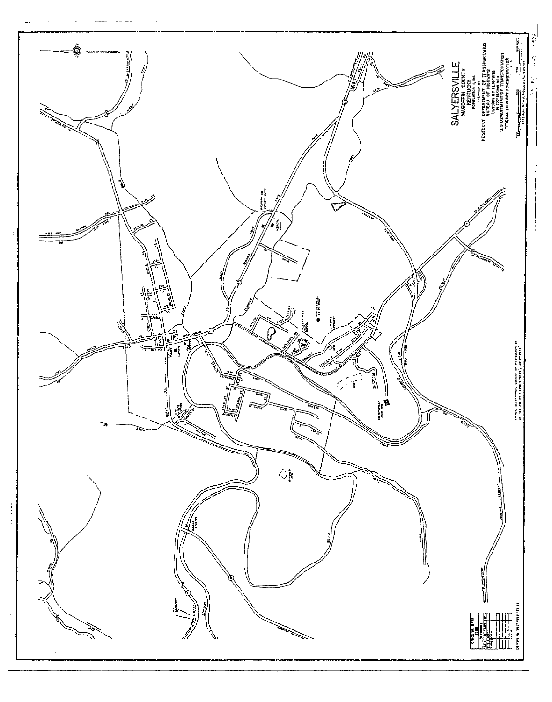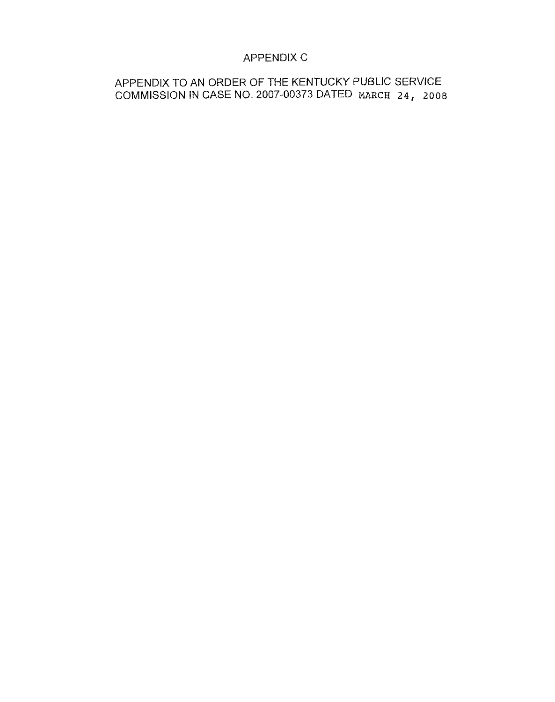# APPENDIX C

# APPENDIX TO AN ORDER OF THE KENTUCKY PUBLIC SERVICE COMMISSION IN CASE NO. 2007-00373 DATED MARCH 24, 2008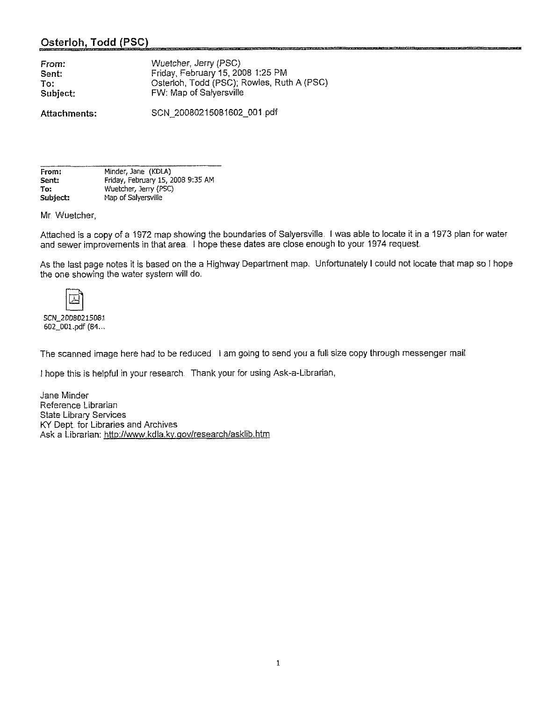### Osterloh, Todd (PSC)

| From:    | Wuetcher, Jerry (PSC)                      |
|----------|--------------------------------------------|
| Sent:    | Friday, February 15, 2008 1:25 PM          |
| To:      | Osterloh, Todd (PSC); Rowles, Ruth A (PSC) |
| Subject: | FW: Map of Salversville                    |
|          |                                            |

Attachments:

SCN 20080215081602 001 pdf

| From:    | Minder Jane (KDLA)                |
|----------|-----------------------------------|
| Sent:    | Friday, February 15, 2008 9:35 AM |
| To:      | Wuetcher Jerry (PSC)              |
| Subject: | Map of Salyersville               |

Mr. Wuetcher,

Attached is a copy of a 1972 map showing the boundaries of Salyersville. <sup>I</sup> was able to locate it in a 1973 plan for water and sewer improvements in that area. I hope these dates are close enough to your 1974 request.

As the last page notes it is based on the a Highway Department map. Unfortunately <sup>I</sup> could not locate that map so <sup>I</sup> hope the one showing the water system will do.

SCN 20080215D81 602\_001.pdf (84...

The scanned image here had to be reduced. I am going to send you a full size copy through messenger mail.

<sup>I</sup> hope this is helpful in your research Thank your for using Ask-a-Librarian,

Jane Minder Reference Librarian State Library Services KY Dept for Libraries and Archives Ask a Librarian: http://www.kdla.ky.gov/research/asklib.htm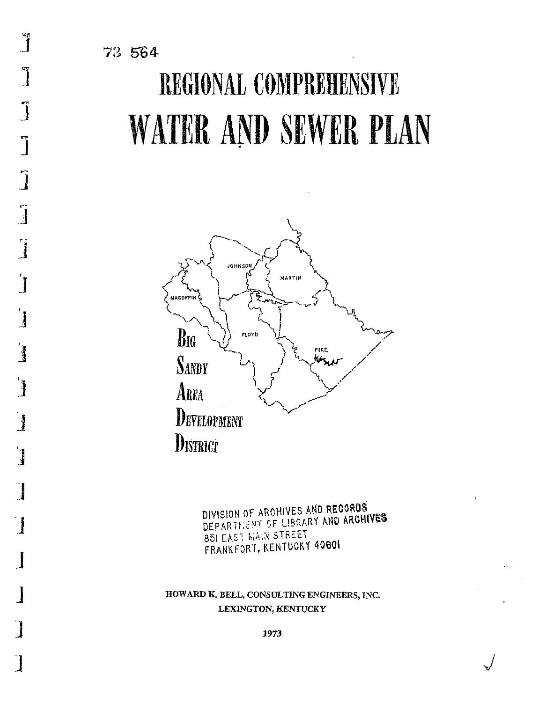$\mathbf{J}$ 

 $\begin{bmatrix} 1 \\ 1 \end{bmatrix}$ 

J

 $\overline{\mathbf{I}}$ 

 $\overline{\mathbf{j}}$ 

 $\int_0^1$ 

 $\begin{array}{c} \begin{array}{c} 1 \\ 1 \end{array} \end{array}$ 

 $\begin{array}{c} \begin{array}{c} \begin{array}{c} \end{array} \end{array} \end{array}$ 

 $\frac{1}{2}$ 

 $\begin{array}{c} \end{array}$ 

 $\overline{\mathbf{I}}$ 

 $\begin{array}{c} \hline \end{array}$ 

 $\frac{1}{2}$ 

# REGIONAL COMPREHENSIVE **WATER AND SEWER PLAN**



DIVISION OF ARCHIVES AND RECORDS DEPARTMENT OF LIBRARY AND ARCHIVES **85) EAST MAIN STREET** FRANKFORT, KENTUCKY 40801

HOWARD K. BELL, CONSULTING ENGINEERS, INC. LEXINGTON, KENTUCKY

1973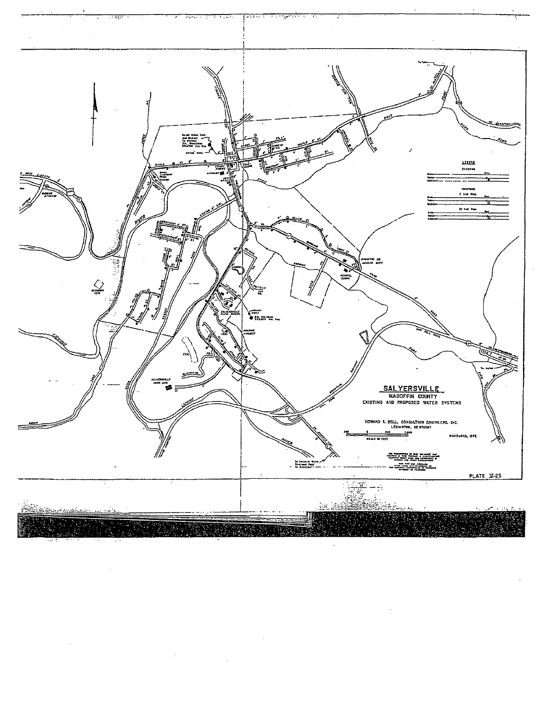